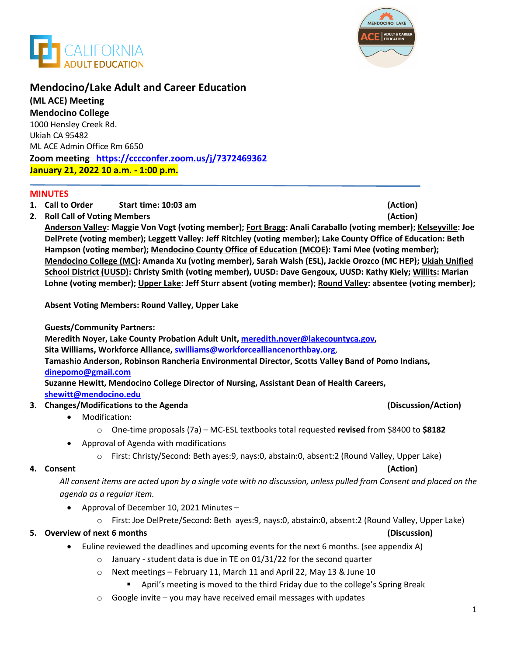



## **Mendocino/Lake Adult and Career Education**

**(ML ACE) Meeting Mendocino College**  1000 Hensley Creek Rd. Ukiah CA 95482 ML ACE Admin Office Rm 6650 **Zoom meeting <https://cccconfer.zoom.us/j/7372469362> January 21, 2022 10 a.m. - 1:00 p.m.**

#### **MINUTES**

- **1. Call to Order Start time: 10:03 am (Action)**
- **2. Roll Call of Voting Members (Action)**

**Anderson Valley: Maggie Von Vogt (voting member); Fort Bragg: Anali Caraballo (voting member); Kelseyville: Joe DelPrete (voting member); Leggett Valley: Jeff Ritchley (voting member); Lake County Office of Education: Beth Hampson (voting member); Mendocino County Office of Education (MCOE): Tami Mee (voting member); Mendocino College (MC): Amanda Xu (voting member), Sarah Walsh (ESL), Jackie Orozco (MC HEP); Ukiah Unified School District (UUSD): Christy Smith (voting member), UUSD: Dave Gengoux, UUSD: Kathy Kiely; Willits: Marian Lohne (voting member); Upper Lake: Jeff Sturr absent (voting member); Round Valley: absentee (voting member);**

**Absent Voting Members: Round Valley, Upper Lake**

**Guests/Community Partners:** 

**Meredith Noyer, Lake County Probation Adult Unit, [meredith.noyer@lakecountyca.gov,](mailto:meredith.noyer@lakecountyca.gov)** 

**Sita Williams, Workforce Alliance, [swilliams@workforcealliancenorthbay.org](mailto:swilliams@workforcealliancenorthbay.org)**,

**Tamashio Anderson, Robinson Rancheria Environmental Director, Scotts Valley Band of Pomo Indians, dinepomo@gmail.com**

**Suzanne Hewitt, Mendocino College Director of Nursing, Assistant Dean of Health Careers,** 

### **[shewitt@mendocino.edu](mailto:shewitt@mendocino.edu)**

- **3. Changes/Modifications to the Agenda (Discussion/Action)**
	- Modification:
		- o One-time proposals (7a) MC-ESL textbooks total requested **revised** from \$8400 to **\$8182**
	- Approval of Agenda with modifications
		- o First: Christy/Second: Beth ayes:9, nays:0, abstain:0, absent:2 (Round Valley, Upper Lake)

#### **4. Consent (Action)**

*All consent items are acted upon by a single vote with no discussion, unless pulled from Consent and placed on the agenda as a regular item.* 

- Approval of December 10, 2021 Minutes
	- o First: Joe DelPrete/Second: Beth ayes:9, nays:0, abstain:0, absent:2 (Round Valley, Upper Lake)

### **5. Overview of next 6 months (Discussion)**

- Euline reviewed the deadlines and upcoming events for the next 6 months. (see appendix A)
	- $\circ$  January student data is due in TE on 01/31/22 for the second quarter
	- o Next meetings February 11, March 11 and April 22, May 13 & June 10
		- April's meeting is moved to the third Friday due to the college's Spring Break
	- $\circ$  Google invite you may have received email messages with updates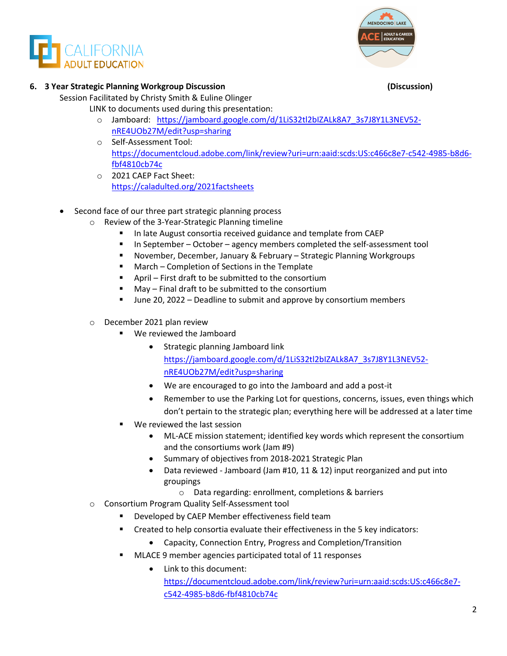



#### **6. 3 Year Strategic Planning Workgroup Discussion (Discussion)**

Session Facilitated by Christy Smith & Euline Olinger

- LINK to documents used during this presentation:
	- o Jamboard: [https://jamboard.google.com/d/1LiS32tl2bIZALk8A7\\_3s7J8Y1L3NEV52](https://jamboard.google.com/d/1LiS32tl2bIZALk8A7_3s7J8Y1L3NEV52-nRE4UOb27M/edit?usp=sharing) [nRE4UOb27M/edit?usp=sharing](https://jamboard.google.com/d/1LiS32tl2bIZALk8A7_3s7J8Y1L3NEV52-nRE4UOb27M/edit?usp=sharing)
	- o Self-Assessment Tool: [https://documentcloud.adobe.com/link/review?uri=urn:aaid:scds:US:c466c8e7-c542-4985-b8d6](https://documentcloud.adobe.com/link/review?uri=urn:aaid:scds:US:c466c8e7-c542-4985-b8d6-fbf4810cb74c) [fbf4810cb74c](https://documentcloud.adobe.com/link/review?uri=urn:aaid:scds:US:c466c8e7-c542-4985-b8d6-fbf4810cb74c)
	- o 2021 CAEP Fact Sheet: <https://caladulted.org/2021factsheets>
- Second face of our three part strategic planning process
	- o Review of the 3-Year-Strategic Planning timeline
		- In late August consortia received guidance and template from CAEP
		- In September October agency members completed the self-assessment tool
		- November, December, January & February Strategic Planning Workgroups
		- March Completion of Sections in the Template
		- April First draft to be submitted to the consortium
		- May Final draft to be submitted to the consortium
		- June 20, 2022 Deadline to submit and approve by consortium members
	- o December 2021 plan review
		- We reviewed the Jamboard
			- Strategic planning Jamboard link [https://jamboard.google.com/d/1LiS32tl2bIZALk8A7\\_3s7J8Y1L3NEV52](https://jamboard.google.com/d/1LiS32tl2bIZALk8A7_3s7J8Y1L3NEV52-nRE4UOb27M/edit?usp=sharing) [nRE4UOb27M/edit?usp=sharing](https://jamboard.google.com/d/1LiS32tl2bIZALk8A7_3s7J8Y1L3NEV52-nRE4UOb27M/edit?usp=sharing)
			- We are encouraged to go into the Jamboard and add a post-it
			- Remember to use the Parking Lot for questions, concerns, issues, even things which don't pertain to the strategic plan; everything here will be addressed at a later time
		- We reviewed the last session
			- ML-ACE mission statement; identified key words which represent the consortium and the consortiums work (Jam #9)
			- Summary of objectives from 2018-2021 Strategic Plan
			- Data reviewed Jamboard (Jam #10, 11 & 12) input reorganized and put into groupings
				- o Data regarding: enrollment, completions & barriers
	- o Consortium Program Quality Self-Assessment tool
		- Developed by CAEP Member effectiveness field team
		- Created to help consortia evaluate their effectiveness in the 5 key indicators:
			- Capacity, Connection Entry, Progress and Completion/Transition
		- **MLACE 9 member agencies participated total of 11 responses** 
			- Link to this document: [https://documentcloud.adobe.com/link/review?uri=urn:aaid:scds:US:c466c8e7](https://documentcloud.adobe.com/link/review?uri=urn:aaid:scds:US:c466c8e7-c542-4985-b8d6-fbf4810cb74c) [c542-4985-b8d6-fbf4810cb74c](https://documentcloud.adobe.com/link/review?uri=urn:aaid:scds:US:c466c8e7-c542-4985-b8d6-fbf4810cb74c)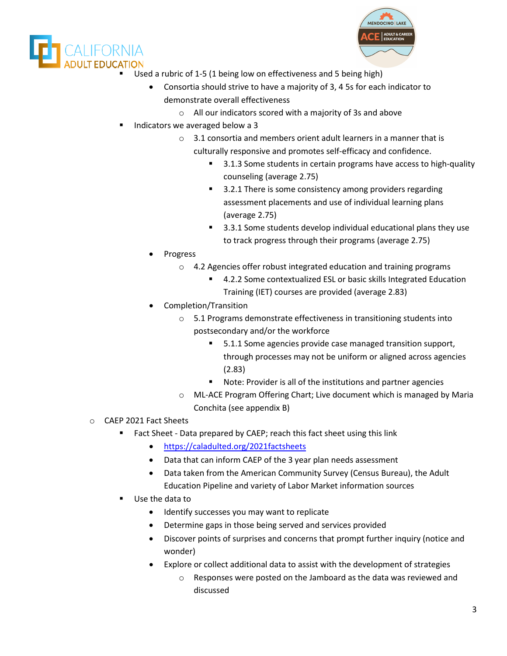



- Used a rubric of 1-5 (1 being low on effectiveness and 5 being high)
	- Consortia should strive to have a majority of 3, 4 5s for each indicator to demonstrate overall effectiveness
		- o All our indicators scored with a majority of 3s and above
- Indicators we averaged below a 3
	- $\circ$  3.1 consortia and members orient adult learners in a manner that is culturally responsive and promotes self-efficacy and confidence.
		- 3.1.3 Some students in certain programs have access to high-quality counseling (average 2.75)
		- 3.2.1 There is some consistency among providers regarding assessment placements and use of individual learning plans (average 2.75)
		- 3.3.1 Some students develop individual educational plans they use to track progress through their programs (average 2.75)
	- **Progress** 
		- o 4.2 Agencies offer robust integrated education and training programs
			- 4.2.2 Some contextualized ESL or basic skills Integrated Education Training (IET) courses are provided (average 2.83)
	- Completion/Transition
		- o 5.1 Programs demonstrate effectiveness in transitioning students into postsecondary and/or the workforce
			- 5.1.1 Some agencies provide case managed transition support, through processes may not be uniform or aligned across agencies (2.83)
			- Note: Provider is all of the institutions and partner agencies
		- o ML-ACE Program Offering Chart; Live document which is managed by Maria Conchita (see appendix B)
- o CAEP 2021 Fact Sheets
	- **Fact Sheet Data prepared by CAEP; reach this fact sheet using this link** 
		- <https://caladulted.org/2021factsheets>
		- Data that can inform CAEP of the 3 year plan needs assessment
		- Data taken from the American Community Survey (Census Bureau), the Adult Education Pipeline and variety of Labor Market information sources
	- Use the data to
		- Identify successes you may want to replicate
		- Determine gaps in those being served and services provided
		- Discover points of surprises and concerns that prompt further inquiry (notice and wonder)
		- Explore or collect additional data to assist with the development of strategies
			- o Responses were posted on the Jamboard as the data was reviewed and discussed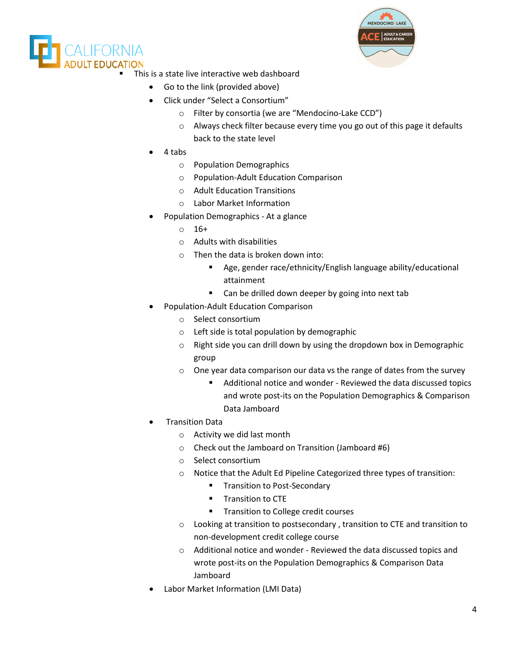



- This is a state live interactive web dashboard
	- Go to the link (provided above)
	- Click under "Select a Consortium"
		- o Filter by consortia (we are "Mendocino-Lake CCD")
		- o Always check filter because every time you go out of this page it defaults back to the state level
	- 4 tabs
		- o Population Demographics
		- o Population-Adult Education Comparison
		- o Adult Education Transitions
		- o Labor Market Information
	- Population Demographics At a glance
		- $0 \t 16+$
		- o Adults with disabilities
		- o Then the data is broken down into:
			- Age, gender race/ethnicity/English language ability/educational attainment
			- Can be drilled down deeper by going into next tab
	- Population-Adult Education Comparison
		- o Select consortium
		- o Left side is total population by demographic
		- o Right side you can drill down by using the dropdown box in Demographic group
		- o One year data comparison our data vs the range of dates from the survey
			- Additional notice and wonder Reviewed the data discussed topics and wrote post-its on the Population Demographics & Comparison Data Jamboard
	- Transition Data
		- o Activity we did last month
		- o Check out the Jamboard on Transition (Jamboard #6)
		- o Select consortium
		- o Notice that the Adult Ed Pipeline Categorized three types of transition:
			- **Transition to Post-Secondary**
			- **Transition to CTE**
			- **Transition to College credit courses**
		- o Looking at transition to postsecondary , transition to CTE and transition to non-development credit college course
		- o Additional notice and wonder Reviewed the data discussed topics and wrote post-its on the Population Demographics & Comparison Data Jamboard
	- Labor Market Information (LMI Data)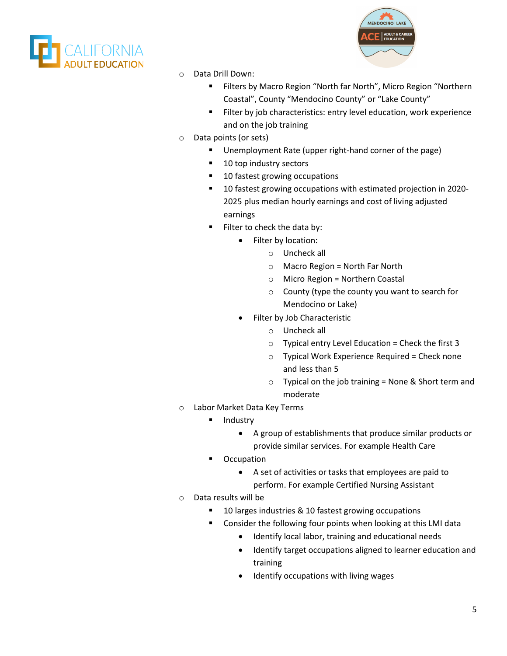



- Data Drill Down:
	- **Filters by Macro Region "North far North", Micro Region "Northern** Coastal", County "Mendocino County" or "Lake County"
	- Filter by job characteristics: entry level education, work experience and on the job training
- o Data points (or sets)
	- **Unemployment Rate (upper right-hand corner of the page)**
	- 10 top industry sectors
	- 10 fastest growing occupations
	- **10 fastest growing occupations with estimated projection in 2020-**2025 plus median hourly earnings and cost of living adjusted earnings
	- Filter to check the data by:
		- Filter by location:
			- o Uncheck all
			- $\circ$  Macro Region = North Far North
			- $\circ$  Micro Region = Northern Coastal
			- o County (type the county you want to search for Mendocino or Lake)
		- Filter by Job Characteristic
			- o Uncheck all
			- $\circ$  Typical entry Level Education = Check the first 3
			- $\circ$  Typical Work Experience Required = Check none and less than 5
			- $\circ$  Typical on the job training = None & Short term and moderate
- o Labor Market Data Key Terms
	- **Industry** 
		- A group of establishments that produce similar products or provide similar services. For example Health Care
	- **•** Occupation
		- A set of activities or tasks that employees are paid to perform. For example Certified Nursing Assistant
- o Data results will be
	- 10 larges industries & 10 fastest growing occupations
	- Consider the following four points when looking at this LMI data
		- Identify local labor, training and educational needs
		- Identify target occupations aligned to learner education and training
		- Identify occupations with living wages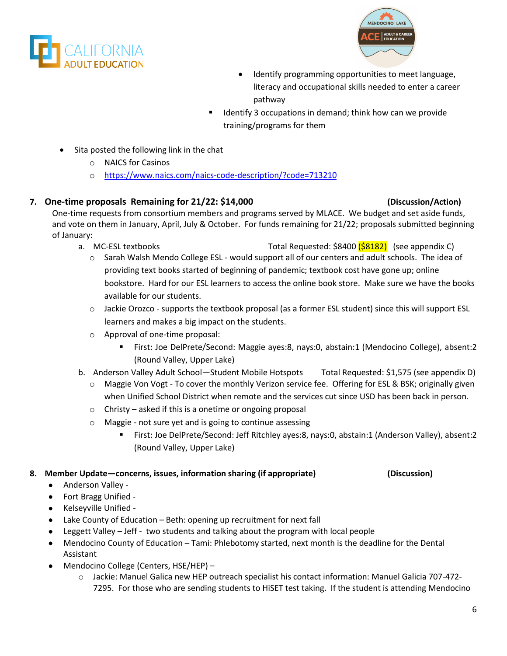



- Identify programming opportunities to meet language, literacy and occupational skills needed to enter a career pathway
- Identify 3 occupations in demand; think how can we provide training/programs for them
- Sita posted the following link in the chat
	- o NAICS for Casinos
	- o <https://www.naics.com/naics-code-description/?code=713210>

## **7. One-time proposals Remaining for 21/22: \$14,000 (Discussion/Action)**

One-time requests from consortium members and programs served by MLACE. We budget and set aside funds, and vote on them in January, April, July & October. For funds remaining for 21/22; proposals submitted beginning of January:

- a. MC-ESL textbooks Total Requested: \$8400 (\$8182) (see appendix C)
	- $\circ$  Sarah Walsh Mendo College ESL would support all of our centers and adult schools. The idea of providing text books started of beginning of pandemic; textbook cost have gone up; online bookstore. Hard for our ESL learners to access the online book store. Make sure we have the books available for our students.
	- o Jackie Orozco supports the textbook proposal (as a former ESL student) since this will support ESL learners and makes a big impact on the students.
	- o Approval of one-time proposal:
		- First: Joe DelPrete/Second: Maggie ayes:8, nays:0, abstain:1 (Mendocino College), absent:2 (Round Valley, Upper Lake)
- b. Anderson Valley Adult School—Student Mobile Hotspots Total Requested: \$1,575 (see appendix D)
	- $\circ$  Maggie Von Vogt To cover the monthly Verizon service fee. Offering for ESL & BSK; originally given when Unified School District when remote and the services cut since USD has been back in person.
	- o Christy asked if this is a onetime or ongoing proposal
	- o Maggie not sure yet and is going to continue assessing
		- First: Joe DelPrete/Second: Jeff Ritchley ayes:8, nays:0, abstain:1 (Anderson Valley), absent:2 (Round Valley, Upper Lake)

### **8. Member Update—concerns, issues, information sharing (if appropriate) (Discussion)**

- Anderson Valley -
- Fort Bragg Unified -
- Kelseyville Unified -
- Lake County of Education Beth: opening up recruitment for next fall
- Leggett Valley Jeff two students and talking about the program with local people
- Mendocino County of Education Tami: Phlebotomy started, next month is the deadline for the Dental Assistant
- Mendocino College (Centers, HSE/HEP)
	- o Jackie: Manuel Galica new HEP outreach specialist his contact information: Manuel Galicia 707-472- 7295. For those who are sending students to HiSET test taking. If the student is attending Mendocino